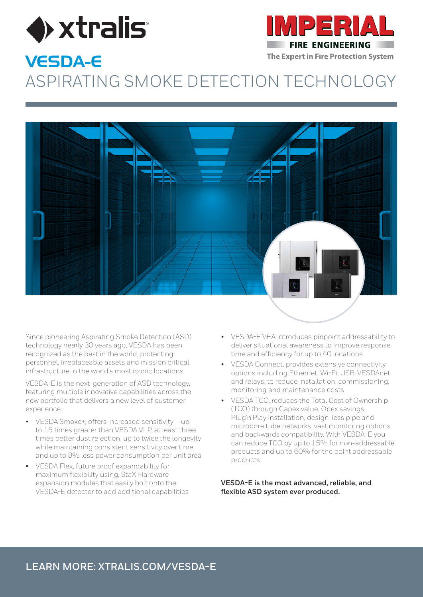



### The Expert in Fire Protection System VESDA-E ASPIRATING CM ASPIRATING SMOKE DETECTION TECHNOLOGY



Since pioneering Aspirating Smoke Detection (ASD) technology nearly 30 years ago, VESDA has been recognized as the best in the world, protecting personnel, irreplaceable assets and mission critical infrastructure in the world's most iconic locations.

VESDA-E is the next-generation of ASD technology, featuring multiple innovative capabilities across the new portfolio that delivers a new level of customer experience:

- VESDA Smoke+, offers increased sensitivity up If the USDA SHIDRET, ONER INCREASED SENSITIVITY - up<br>to 15 times greater than VESDA VLP, at least three to 15 ames greater than vESDA vEr, at least three<br>times better dust rejection, up to twice the longevity untes better dust rejection, up to twice the tongevie<br>while maintaining consistent sensitivity over time and up to 8% less power consumption per unit area
- VESDA Flex, future proof expandability for maximum flexibility using, StaX Hardware expansion modules that easily bolt onto the VESDA-E detector to add additional capabilities
- VESDA-E VEA introduces pinpoint addressability to deliver situational awareness to improve response time and efficiency for up to 40 locations
- VESDA Connect, provides extensive connectivity options including Ethernet, Wi-Fi, USB, VESDAnet and relays, to reduce installation, commissioning, monitoring and maintenance costs
- VESDA TCO, reduces the Total Cost of Ownership (TCO) through Capex value, Opex savings, Plug'n'Play installation, design-less pipe and microbore tube networks, vast monitoring options and backwards compatibility. With VESDA-E you can reduce TCO by up to 15% for non-addressable products and up to 60% for the point addressable products

**VESDA-E is the most advanced, reliable, and flexible ASD system ever produced.**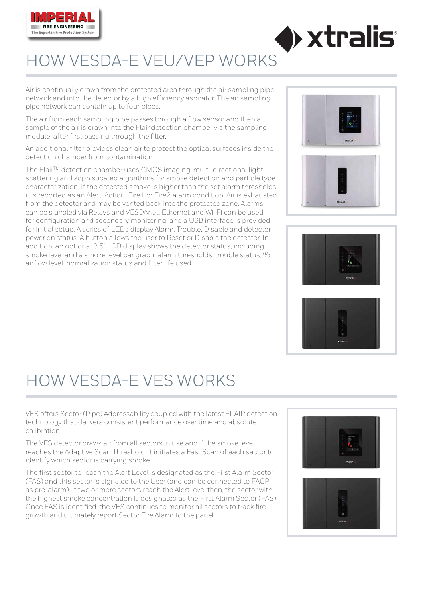

## HOW VESDA-E VEU/VEP WORKS

Air is continually drawn from the protected area through the air sampling pipe network and into the detector by a high efficiency aspirator. The air sampling pipe network can contain up to four pipes.

The air from each sampling pipe passes through a flow sensor and then a sample of the air is drawn into the Flair detection chamber via the sampling module, after first passing through the filter.

An additional filter provides clean air to protect the optical surfaces inside the detection chamber from contamination.

The Flair™ detection chamber uses CMOS imaging, multi-directional light scattering and sophisticated algorithms for smoke detection and particle type characterization. If the detected smoke is higher than the set alarm thresholds it is reported as an Alert, Action, Fire1 or Fire2 alarm condition. Air is exhausted from the detector and may be vented back into the protected zone. Alarms can be signaled via Relays and VESDAnet. Ethernet and Wi-Fi can be used for configuration and secondary monitoring, and a USB interface is provided for initial setup. A series of LEDs display Alarm, Trouble, Disable and detector power on status. A button allows the user to Reset or Disable the detector. In addition, an optional 3.5" LCD display shows the detector status, including smoke level and a smoke level bar graph, alarm thresholds, trouble status, % airflow level, normalization status and filter life used.



 $\triangleright$  xtralis:



## HOW VESDA-E VES WORKS

VES offers Sector (Pipe) Addressability coupled with the latest FLAIR detection technology that delivers consistent performance over time and absolute calibration.

The VES detector draws air from all sectors in use and if the smoke level reaches the Adaptive Scan Threshold, it initiates a Fast Scan of each sector to identify which sector is carrying smoke.

The first sector to reach the Alert Level is designated as the First Alarm Sector (FAS) and this sector is signaled to the User (and can be connected to FACP as pre-alarm). If two or more sectors reach the Alert level then, the sector with the highest smoke concentration is designated as the First Alarm Sector (FAS). Once FAS is identified, the VES continues to monitor all sectors to track fire growth and ultimately report Sector Fire Alarm to the panel

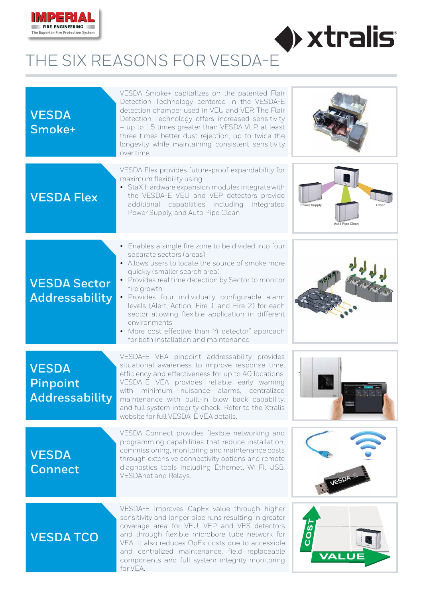

## $\blacklozenge$  xtralis THE SIX REASONS FOR VESDA-E

| <b>VESDA</b><br>Smoke+                            | VESDA Smoke+ capitalizes on the patented Flair<br>Detection Technology centered in the VESDA-E<br>detection chamber used in VEU and VEP. The Flair<br>Detection Technology offers increased sensitivity<br>- up to 15 times greater than VESDA VLP, at least<br>three times better dust rejection, up to twice the<br>longevity while maintaining consistent sensitivity<br>over time.                                                                                                                                  |                                        |
|---------------------------------------------------|-------------------------------------------------------------------------------------------------------------------------------------------------------------------------------------------------------------------------------------------------------------------------------------------------------------------------------------------------------------------------------------------------------------------------------------------------------------------------------------------------------------------------|----------------------------------------|
| <b>VESDA Flex</b>                                 | VESDA Flex provides future-proof expandability for<br>maximum flexibility using:<br>• StaX Hardware expansion modules integrate with<br>the VESDA-E VEU and VEP detectors provide<br>additional capabilities including integrated<br>Power Supply, and Auto Pipe Clean                                                                                                                                                                                                                                                  | Power Supply<br><b>Auto Pipe Clean</b> |
| <b>VESDA Sector</b><br><b>Addressability</b>      | • Enables a single fire zone to be divided into four<br>separate sectors (areas)<br>• Allows users to locate the source of smoke more<br>quickly (smaller search area)<br>• Provides real time detection by Sector to monitor<br>fire growth<br>· Provides four individually configurable alarm<br>levels (Alert, Action, Fire 1 and Fire 2) for each<br>sector allowing flexible application in different<br>environments<br>• More cost effective than "4 detector" approach<br>for both installation and maintenance |                                        |
| <b>VESDA</b><br>Pinpoint<br><b>Addressability</b> | VESDA-E VEA pinpoint addressability provides<br>situational awareness to improve response time,<br>efficiency and effectiveness for up to 40 locations.<br>VESDA-E VEA provides reliable early warning<br>with minimum nuisance alarms, centralized<br>maintenance with built-in blow back capability,<br>and full system integrity check. Refer to the Xtralis<br>website for full VESDA-E VEA details.                                                                                                                |                                        |
| <b>VESDA</b><br><b>Connect</b>                    | VESDA Connect provides flexible networking and<br>programming capabilities that reduce installation,<br>commissioning, monitoring and maintenance costs<br>through extensive connectivity options and remote<br>diagnostics tools including Ethernet, Wi-Fi, USB,<br>VESDAnet and Relays.                                                                                                                                                                                                                               | VESDA                                  |
| <b>VESDATCO</b>                                   | VESDA-E improves CapEx value through higher<br>sensitivity and longer pipe runs resulting in greater<br>coverage area for VEU, VEP and VES detectors<br>and through flexible microbore tube network for<br>VEA. It also reduces OpEx costs due to accessible<br>and centralized maintenance, field replaceable<br>components and full system integrity monitoring<br>for VEA.                                                                                                                                           | COS<br>VALUE                           |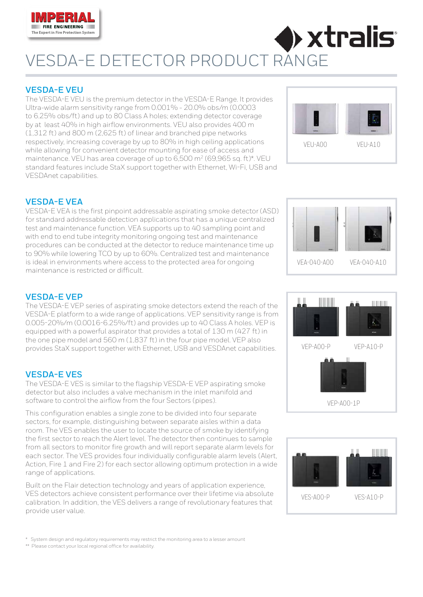

## $\blacktriangleright$  xtralis: VESDA-E DETECTOR PRODUCT RANGE

### **VESDA-E VEU**

The VESDA-E VEU is the premium detector in the VESDA-E Range. It provides Ultra-wide alarm sensitivity range from 0.001% - 20.0% obs/m (0.0003 to 6.25% obs/ft) and up to 80 Class A holes; extending detector coverage by at least 40% in high airflow environments. VEU also provides 400 m (1,312 ft) and 800 m (2,625 ft) of linear and branched pipe networks respectively, increasing coverage by up to 80% in high ceiling applications while allowing for convenient detector mounting for ease of access and maintenance. VEU has area coverage of up to 6,500 m<sup>2</sup> (69,965 sq. ft)\*. VEU standard features include StaX support together with Ethernet, Wi-Fi, USB and VESDAnet capabilities.



### **VESDA-E VEA**

VESDA-E VEA is the first pinpoint addressable aspirating smoke detector (ASD) for standard addressable detection applications that has a unique centralized test and maintenance function. VEA supports up to 40 sampling point and with end to end tube integrity monitoring ongoing test and maintenance procedures can be conducted at the detector to reduce maintenance time up to 90% while lowering TCO by up to 60%. Centralized test and maintenance is ideal in environments where access to the protected area for ongoing maintenance is restricted or difficult.



### **VESDA-E VEP**

The VESDA-E VEP series of aspirating smoke detectors extend the reach of the VESDA-E platform to a wide range of applications. VEP sensitivity range is from 0.005-20%/m (0.0016-6.25%/ft) and provides up to 40 Class A holes. VEP is equipped with a powerful aspirator that provides a total of 130 m (427 ft) in the one pipe model and 560 m (1,837 ft) in the four pipe model. VEP also provides StaX support together with Ethernet, USB and VESDAnet capabilities.

### **VESDA-E VES**

The VESDA-E VES is similar to the flagship VESDA-E VEP aspirating smoke detector but also includes a valve mechanism in the inlet manifold and software to control the airflow from the four Sectors (pipes).

This configuration enables a single zone to be divided into four separate sectors, for example, distinguishing between separate aisles within a data room. The VES enables the user to locate the source of smoke by identifying the first sector to reach the Alert level. The detector then continues to sample from all sectors to monitor fire growth and will report separate alarm levels for each sector. The VES provides four individually configurable alarm levels (Alert, Action, Fire 1 and Fire 2) for each sector allowing optimum protection in a wide range of applications.

Built on the Flair detection technology and years of application experience, VES detectors achieve consistent performance over their lifetime via absolute calibration. In addition, the VES delivers a range of revolutionary features that provide user value.

 $VFP-AOO-P$ VEP-A00-1P  $VFP-A1$   $O-P$ 



\* System design and regulatory requirements may restrict the monitoring area to a lesser amount

\*\* Please contact your local regional office for availability.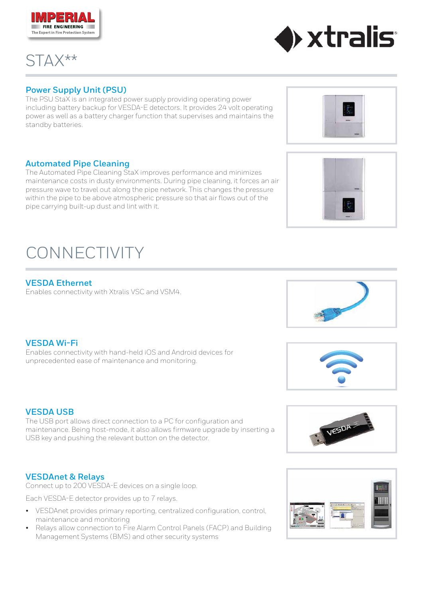### **Power Supply Unit (PSU)**

The PSU StaX is an integrated power supply providing operating power including battery backup for VESDA-E detectors. It provides 24 volt operating power as well as a battery charger function that supervises and maintains the standby batteries.

### **Automated Pipe Cleaning**

The Automated Pipe Cleaning StaX improves performance and minimizes maintenance costs in dusty environments. During pipe cleaning, it forces an air pressure wave to travel out along the pipe network. This changes the pressure within the pipe to be above atmospheric pressure so that air flows out of the pipe carrying built-up dust and lint with it.

**VESDA Wi-Fi** Enables connectivity with hand-held iOS and Android devices for unprecedented ease of maintenance and monitoring.

### **VESDA USB**

The USB port allows direct connection to a PC for configuration and maintenance. Being host-mode, it also allows firmware upgrade by inserting a USB key and pushing the relevant button on the detector.

### **VESDAnet & Relays**

Connect up to 200 VESDA-E devices on a single loop.

Each VESDA-E detector provides up to 7 relays.

- VESDAnet provides primary reporting, centralized configuration, control, maintenance and monitoring
- Relays allow connection to Fire Alarm Control Panels (FACP) and Building Management Systems (BMS) and other security systems

# CONNECTIVITY

### **VESDA Ethernet**

Enables connectivity with Xtralis VSC and VSM4.

















STAX\*\*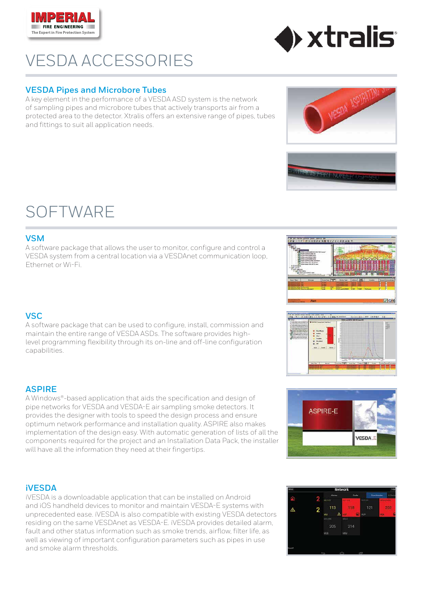## VESDA ACCESSORIES

### **VESDA Pipes and Microbore Tubes**

A key element in the performance of a VESDA ASD system is the network of sampling pipes and microbore tubes that actively transports air from a protected area to the detector. Xtralis offers an extensive range of pipes, tubes and fittings to suit all application needs.

### SOFTWARE

**EIRE ENGINEERING** 

The Expert in Fire Protection System

### **VSM**

A software package that allows the user to monitor, configure and control a VESDA system from a central location via a VESDAnet communication loop, Ethernet or Wi-Fi.

### **VSC**

A software package that can be used to configure, install, commission and maintain the entire range of VESDA ASDs. The software provides highlevel programming flexibility through its on-line and off-line configuration capabilities.

### **ASPIRE**

A Windows®-based application that aids the specification and design of pipe networks for VESDA and VESDA-E air sampling smoke detectors. It provides the designer with tools to speed the design process and ensure optimum network performance and installation quality. ASPIRE also makes implementation of the design easy. With automatic generation of lists of all the components required for the project and an Installation Data Pack, the installer will have all the information they need at their fingertips.

### **iVESDA**

iVESDA is a downloadable application that can be installed on Android and iOS handheld devices to monitor and maintain VESDA-E systems with unprecedented ease. iVESDA is also compatible with existing VESDA detectors residing on the same VESDAnet as VESDA-E. iVESDA provides detailed alarm, fault and other status information such as smoke trends, airflow, filter life, as well as viewing of important configuration parameters such as pipes in use and smoke alarm thresholds.



**ASPIRE-E** 











VESDA

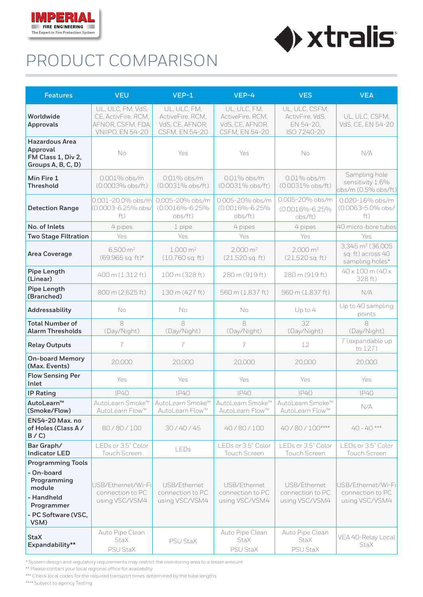

## PRODUCT COMPARISON

| <b>Features</b>                                                                                                            | <b>VEU</b>                                                                               | $VEP-1$                                                               | VEP-4                                                                 | <b>VES</b>                                                    | <b>VEA</b>                                                           |
|----------------------------------------------------------------------------------------------------------------------------|------------------------------------------------------------------------------------------|-----------------------------------------------------------------------|-----------------------------------------------------------------------|---------------------------------------------------------------|----------------------------------------------------------------------|
| Worldwide<br><b>Approvals</b>                                                                                              | UL, ULC, FM, VdS,<br>CE, ActivFire, RCM,<br>AFNOR, CSFM, FDA,<br><b>VNIIPO, EN 54-20</b> | UL, ULC, FM,<br>ActiveFire, RCM,<br>VdS, CE, AFNOR,<br>CSFM, EN 54-20 | UL, ULC, FM,<br>ActiveFire, RCM,<br>VdS, CE, AFNOR,<br>CSFM, EN 54-20 | UL, ULC, CSFM,<br>ActivFire, VdS,<br>EN 54-20,<br>ISO 7240-20 | UL, ULC, CSFM,<br>VdS, CE, EN 54-20                                  |
| <b>Hazardous Area</b><br>Approval<br>FM Class 1, Div 2,<br>Groups A, B, C, D)                                              | No                                                                                       | Yes                                                                   | Yes                                                                   | No                                                            | N/A                                                                  |
| Min Fire 1<br><b>Threshold</b>                                                                                             | 0.001% obs/m<br>(0.0003% obs/ft)                                                         | $0.01\%$ obs/m<br>(0.0031% obs/ft)                                    | $0.01\%$ obs/m<br>(0.0031% obs/ft)                                    | $0.01\%$ obs/m<br>$(0.0031\%$ obs/ft)                         | Sampling hole<br>sensitivity 1.6%<br>obs/m (0.5% obs/ft)             |
| <b>Detection Range</b>                                                                                                     | 0.001-20.0% obs/m<br>(0.0003-6.25% obs/<br>ft)                                           | 0.005-20% obs/m<br>(0.0016%-6.25%<br>obs/ft)                          | 0.005-20% obs/m<br>(0.0016%-6.25%<br>obs/ft)                          | 0.005-20% obs/m<br>(0.0016%-6.25%<br>obs/ft)                  | 0.020-16% obs/m<br>(0.0063-5.0% obs/<br>ft)                          |
| No. of Inlets                                                                                                              | 4 pipes                                                                                  | 1 pipe                                                                | 4 pipes                                                               | 4 pipes                                                       | 40 micro-bore tubes                                                  |
| <b>Two Stage Filtration</b>                                                                                                | Yes                                                                                      | Yes                                                                   | Yes                                                                   | Yes                                                           | Yes                                                                  |
| <b>Area Coverage</b>                                                                                                       | $6,500 \text{ m}^2$<br>(69,965 sq. ft)*                                                  | $1,000 \text{ m}^2$<br>$(10,760$ sq. ft)                              | $2,000 \text{ m}^2$<br>$(21,520$ sq. ft)                              | $2,000 \text{ m}^2$<br>$(21,520$ sq. ft)                      | 3,345 m <sup>2</sup> (36,005<br>sq. ft) across 40<br>sampling holes* |
| Pipe Length<br>(Linear)                                                                                                    | 400 m (1,312 ft)                                                                         | 100 m (328 ft)                                                        | 280 m (919 ft)                                                        | 280 m (919 ft)                                                | 40 x 100 m (40 x<br>328 ft)                                          |
| Pipe Length<br>(Branched)                                                                                                  | 800 m (2,625 ft)                                                                         | 130 m (427 ft)                                                        | 560 m (1,837 ft)                                                      | 560 m (1,837 ft)                                              | N/A                                                                  |
| <b>Addressability</b>                                                                                                      | No                                                                                       | No                                                                    | No                                                                    | Up to 4                                                       | Up to 40 sampling<br>points                                          |
| <b>Total Number of</b><br><b>Alarm Thresholds</b>                                                                          | 8<br>(Day/Night)                                                                         | 8<br>(Day/Night)                                                      | 8<br>(Day/Night)                                                      | 32<br>(Day/Night)                                             | 8<br>(Day/Night)                                                     |
| <b>Relay Outputs</b>                                                                                                       | 7                                                                                        | 7                                                                     | 7                                                                     | 12                                                            | 7 (expandable up<br>to 127)                                          |
| <b>On-board Memory</b><br>(Max. Events)                                                                                    | 20,000                                                                                   | 20,000                                                                | 20,000                                                                | 20,000                                                        | 20,000                                                               |
| <b>Flow Sensing Per</b><br>Inlet                                                                                           | Yes                                                                                      | Yes                                                                   | Yes                                                                   | Yes                                                           | Yes                                                                  |
| <b>IP Rating</b>                                                                                                           | <b>IP40</b>                                                                              | <b>IP40</b>                                                           | <b>IP40</b>                                                           | <b>IP40</b>                                                   | <b>IP40</b>                                                          |
| AutoLearn™<br>(Smoke/Flow)                                                                                                 | AutoLearn Smoke™<br>AutoLearn Flow™                                                      | AutoLearn Smoke™<br>AutoLearn Flow™                                   | AutoLearn Smoke™<br>AutoLearn Flow™                                   | AutoLearn Smoke™<br>AutoLearn Flow™                           | N/A                                                                  |
| <b>EN54-20 Max. no</b><br>of Holes (Class A/<br>B / C                                                                      | 80/80/100                                                                                | 30/40/45                                                              | 40/80/100                                                             | 40/80/100****                                                 | $40 - 40$ ***                                                        |
| Bar Graph/<br><b>Indicator LED</b>                                                                                         | LEDs or 3.5" Color<br><b>Touch Screen</b>                                                | LEDs                                                                  | LEDs or 3.5" Color<br><b>Touch Screen</b>                             | LEDs or 3.5" Color<br><b>Touch Screen</b>                     | LEDs or 3.5" Color<br>Touch Screen                                   |
| <b>Programming Tools</b><br>- On-board<br>Programming<br>module<br>- Handheld<br>Programmer<br>- PC Software (VSC,<br>VSM) | USB/Ethernet/Wi-Fi<br>connection to PC<br>using VSC/VSM4                                 | USB/Ethernet<br>connection to PC<br>using VSC/VSM4                    | USB/Ethernet<br>connection to PC<br>using VSC/VSM4                    | USB/Ethernet<br>connection to PC<br>using VSC/VSM4            | USB/Fthernet/Wi-Fi<br>connection to PC<br>using VSC/VSM4             |
| <b>StaX</b><br>Expandability**                                                                                             | Auto Pipe Clean<br><b>StaX</b><br>PSU StaX                                               | PSU StaX                                                              | Auto Pipe Clean<br>StaX<br>PSU StaX                                   | Auto Pipe Clean<br><b>StaX</b><br>PSU StaX                    | VEA 40-Relay Local<br>StaX                                           |

 $\blacklozenge$  xtralis

\* System design and regulatory requirements may restrict the monitoring area to a lesser amount.

\*\* Please contact your local regional office for availability

\*\*\* Check local codes for the required transport times determined by the tube lengths

\*\*\*\* Subject to agency Testing